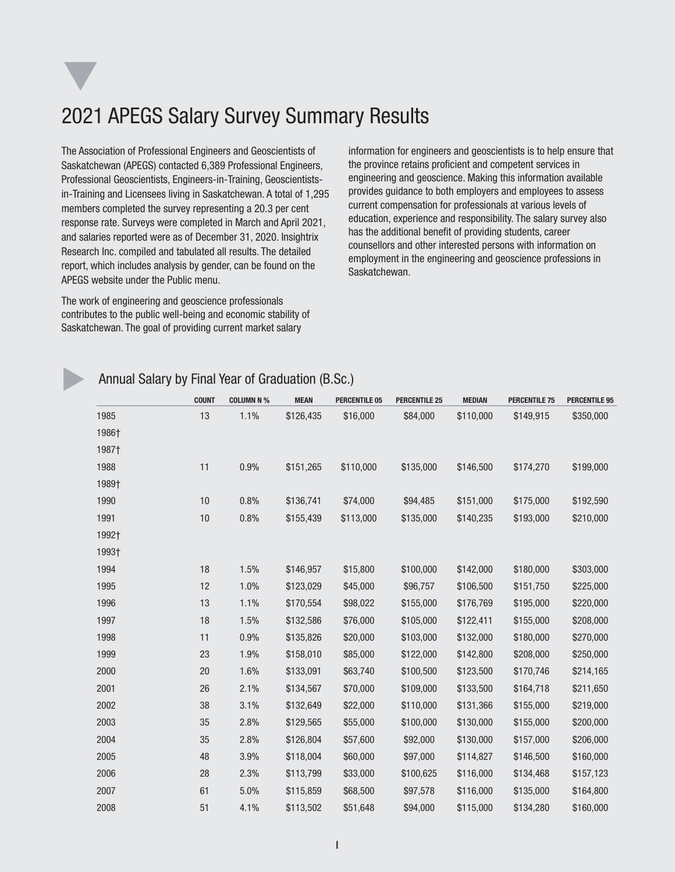# 2021 APEGS Salary Survey Summary Results

The Association of Professional Engineers and Geoscientists of Saskatchewan (APEGS) contacted 6,389 Professional Engineers, Professional Geoscientists, Engineers-in-Training, Geoscientistsin-Training and Licensees living in Saskatchewan. A total of 1,295 members completed the survey representing a 20.3 per cent response rate. Surveys were completed in March and April 2021, and salaries reported were as of December 31, 2020. Insightrix Research Inc. compiled and tabulated all results. The detailed report, which includes analysis by gender, can be found on the APEGS website under the Public menu.

The work of engineering and geoscience professionals contributes to the public well-being and economic stability of Saskatchewan. The goal of providing current market salary

information for engineers and geoscientists is to help ensure that the province retains proficient and competent services in engineering and geoscience. Making this information available provides guidance to both employers and employees to assess current compensation for professionals at various levels of education, experience and responsibility. The salary survey also has the additional benefit of providing students, career counsellors and other interested persons with information on employment in the engineering and geoscience professions in Saskatchewan.

q

#### Annual Salary by Final Year of Graduation (B.Sc.)

|       | <b>COUNT</b> | <b>COLUMN N %</b> | <b>MEAN</b> | <b>PERCENTILE 05</b> | <b>PERCENTILE 25</b> | <b>MEDIAN</b> | <b>PERCENTILE 75</b> | <b>PERCENTILE 95</b> |
|-------|--------------|-------------------|-------------|----------------------|----------------------|---------------|----------------------|----------------------|
| 1985  | 13           | 1.1%              | \$126,435   | \$16,000             | \$84,000             | \$110,000     | \$149,915            | \$350,000            |
| 1986† |              |                   |             |                      |                      |               |                      |                      |
| 1987† |              |                   |             |                      |                      |               |                      |                      |
| 1988  | 11           | 0.9%              | \$151,265   | \$110,000            | \$135,000            | \$146,500     | \$174,270            | \$199,000            |
| 1989† |              |                   |             |                      |                      |               |                      |                      |
| 1990  | 10           | 0.8%              | \$136,741   | \$74,000             | \$94,485             | \$151,000     | \$175,000            | \$192,590            |
| 1991  | 10           | 0.8%              | \$155,439   | \$113,000            | \$135,000            | \$140,235     | \$193,000            | \$210,000            |
| 1992† |              |                   |             |                      |                      |               |                      |                      |
| 1993† |              |                   |             |                      |                      |               |                      |                      |
| 1994  | 18           | 1.5%              | \$146,957   | \$15,800             | \$100,000            | \$142,000     | \$180,000            | \$303,000            |
| 1995  | 12           | 1.0%              | \$123,029   | \$45,000             | \$96,757             | \$106,500     | \$151,750            | \$225,000            |
| 1996  | 13           | 1.1%              | \$170,554   | \$98,022             | \$155,000            | \$176,769     | \$195,000            | \$220,000            |
| 1997  | 18           | 1.5%              | \$132,586   | \$76,000             | \$105,000            | \$122,411     | \$155,000            | \$208,000            |
| 1998  | 11           | 0.9%              | \$135,826   | \$20,000             | \$103,000            | \$132,000     | \$180,000            | \$270,000            |
| 1999  | 23           | 1.9%              | \$158,010   | \$85,000             | \$122,000            | \$142,800     | \$208,000            | \$250,000            |
| 2000  | 20           | 1.6%              | \$133,091   | \$63,740             | \$100,500            | \$123,500     | \$170,746            | \$214,165            |
| 2001  | 26           | 2.1%              | \$134,567   | \$70,000             | \$109,000            | \$133,500     | \$164,718            | \$211,650            |
| 2002  | 38           | 3.1%              | \$132,649   | \$22,000             | \$110,000            | \$131,366     | \$155,000            | \$219,000            |
| 2003  | 35           | 2.8%              | \$129,565   | \$55,000             | \$100,000            | \$130,000     | \$155,000            | \$200,000            |
| 2004  | 35           | 2.8%              | \$126,804   | \$57,600             | \$92,000             | \$130,000     | \$157,000            | \$206,000            |
| 2005  | 48           | 3.9%              | \$118,004   | \$60,000             | \$97,000             | \$114,827     | \$146,500            | \$160,000            |
| 2006  | 28           | 2.3%              | \$113,799   | \$33,000             | \$100,625            | \$116,000     | \$134,468            | \$157,123            |
| 2007  | 61           | 5.0%              | \$115,859   | \$68,500             | \$97,578             | \$116,000     | \$135,000            | \$164,800            |
| 2008  | 51           | 4.1%              | \$113,502   | \$51,648             | \$94,000             | \$115,000     | \$134,280            | \$160,000            |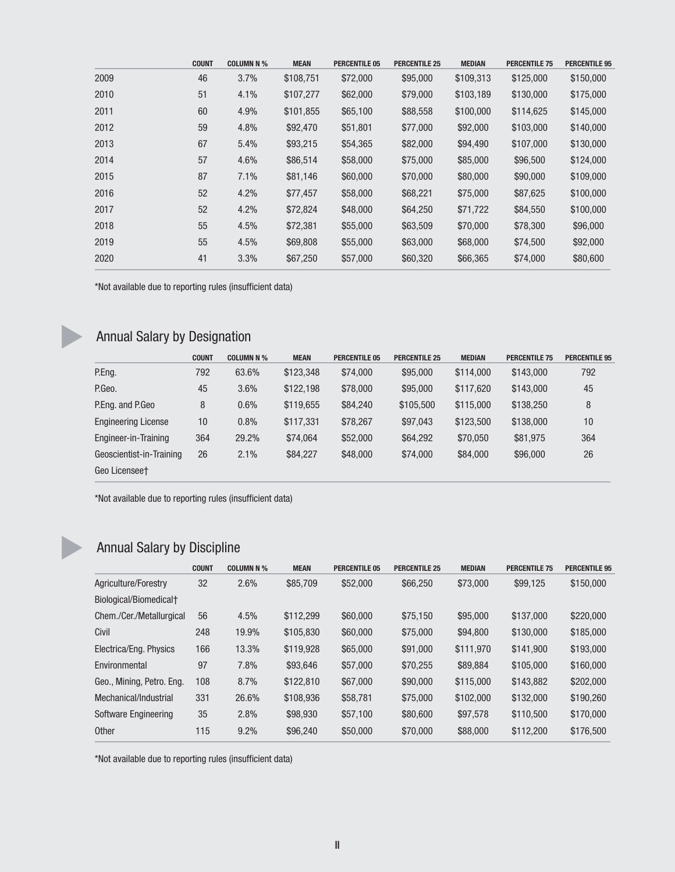|      | <b>COUNT</b> | <b>COLUMN N %</b> | <b>MEAN</b> | <b>PERCENTILE 05</b> | <b>PERCENTILE 25</b> | <b>MEDIAN</b> | <b>PERCENTILE 75</b> | <b>PERCENTILE 95</b> |
|------|--------------|-------------------|-------------|----------------------|----------------------|---------------|----------------------|----------------------|
| 2009 | 46           | 3.7%              | \$108,751   | \$72,000             | \$95,000             | \$109,313     | \$125,000            | \$150,000            |
| 2010 | 51           | 4.1%              | \$107,277   | \$62,000             | \$79,000             | \$103,189     | \$130,000            | \$175,000            |
| 2011 | 60           | 4.9%              | \$101,855   | \$65,100             | \$88,558             | \$100,000     | \$114,625            | \$145,000            |
| 2012 | 59           | 4.8%              | \$92,470    | \$51,801             | \$77,000             | \$92,000      | \$103,000            | \$140,000            |
| 2013 | 67           | 5.4%              | \$93,215    | \$54,365             | \$82,000             | \$94,490      | \$107,000            | \$130,000            |
| 2014 | 57           | 4.6%              | \$86,514    | \$58,000             | \$75,000             | \$85,000      | \$96,500             | \$124,000            |
| 2015 | 87           | 7.1%              | \$81,146    | \$60,000             | \$70,000             | \$80,000      | \$90,000             | \$109,000            |
| 2016 | 52           | 4.2%              | \$77.457    | \$58,000             | \$68,221             | \$75,000      | \$87,625             | \$100,000            |
| 2017 | 52           | 4.2%              | \$72,824    | \$48,000             | \$64,250             | \$71,722      | \$84,550             | \$100,000            |
| 2018 | 55           | 4.5%              | \$72,381    | \$55,000             | \$63,509             | \$70,000      | \$78,300             | \$96,000             |
| 2019 | 55           | 4.5%              | \$69,808    | \$55,000             | \$63,000             | \$68,000      | \$74,500             | \$92,000             |
| 2020 | 41           | 3.3%              | \$67,250    | \$57,000             | \$60,320             | \$66,365      | \$74,000             | \$80,600             |
|      |              |                   |             |                      |                      |               |                      |                      |

\*Not available due to reporting rules (insufficient data)

## **Annual Salary by Designation**

|                            | <b>COUNT</b> | <b>COLUMN N %</b> | <b>MEAN</b> | <b>PERCENTILE 05</b> | <b>PERCENTILE 25</b> | <b>MEDIAN</b> | <b>PERCENTILE 75</b> | <b>PERCENTILE 95</b> |
|----------------------------|--------------|-------------------|-------------|----------------------|----------------------|---------------|----------------------|----------------------|
| P.Eng.                     | 792          | 63.6%             | \$123,348   | \$74,000             | \$95,000             | \$114,000     | \$143,000            | 792                  |
| P.Geo.                     | 45           | 3.6%              | \$122,198   | \$78,000             | \$95,000             | \$117,620     | \$143,000            | 45                   |
| P.Eng. and P.Geo           | 8            | 0.6%              | \$119,655   | \$84,240             | \$105,500            | \$115,000     | \$138,250            | 8                    |
| <b>Engineering License</b> | 10           | 0.8%              | \$117,331   | \$78,267             | \$97,043             | \$123,500     | \$138,000            | 10                   |
| Engineer-in-Training       | 364          | 29.2%             | \$74,064    | \$52,000             | \$64,292             | \$70,050      | \$81,975             | 364                  |
| Geoscientist-in-Training   | 26           | 2.1%              | \$84,227    | \$48,000             | \$74,000             | \$84,000      | \$96,000             | 26                   |
| Geo Licenseet              |              |                   |             |                      |                      |               |                      |                      |

\*Not available due to reporting rules (insufficient data)

## Annual Salary by Discipline

|                                    | <b>COUNT</b> | <b>COLUMN N %</b> | <b>MEAN</b> | <b>PERCENTILE 05</b> | <b>PERCENTILE 25</b> | <b>MEDIAN</b> | <b>PERCENTILE 75</b> | <b>PERCENTILE 95</b> |
|------------------------------------|--------------|-------------------|-------------|----------------------|----------------------|---------------|----------------------|----------------------|
| Agriculture/Forestry               | 32           | 2.6%              | \$85,709    | \$52,000             | \$66,250             | \$73,000      | \$99,125             | \$150,000            |
| Biological/Biomedical <sup>+</sup> |              |                   |             |                      |                      |               |                      |                      |
| Chem./Cer./Metallurgical           | 56           | 4.5%              | \$112,299   | \$60,000             | \$75.150             | \$95,000      | \$137,000            | \$220,000            |
| Civil                              | 248          | 19.9%             | \$105,830   | \$60,000             | \$75,000             | \$94,800      | \$130,000            | \$185,000            |
| Electrica/Eng. Physics             | 166          | 13.3%             | \$119.928   | \$65,000             | \$91,000             | \$111.970     | \$141.900            | \$193,000            |
| Environmental                      | 97           | 7.8%              | \$93,646    | \$57,000             | \$70,255             | \$89,884      | \$105,000            | \$160,000            |
| Geo., Mining, Petro. Eng.          | 108          | 8.7%              | \$122,810   | \$67,000             | \$90,000             | \$115,000     | \$143,882            | \$202,000            |
| Mechanical/Industrial              | 331          | 26.6%             | \$108.936   | \$58,781             | \$75,000             | \$102,000     | \$132,000            | \$190,260            |
| Software Engineering               | 35           | 2.8%              | \$98,930    | \$57,100             | \$80,600             | \$97.578      | \$110,500            | \$170,000            |
| <b>Other</b>                       | 115          | 9.2%              | \$96,240    | \$50,000             | \$70,000             | \$88,000      | \$112,200            | \$176,500            |

\*Not available due to reporting rules (insufficient data)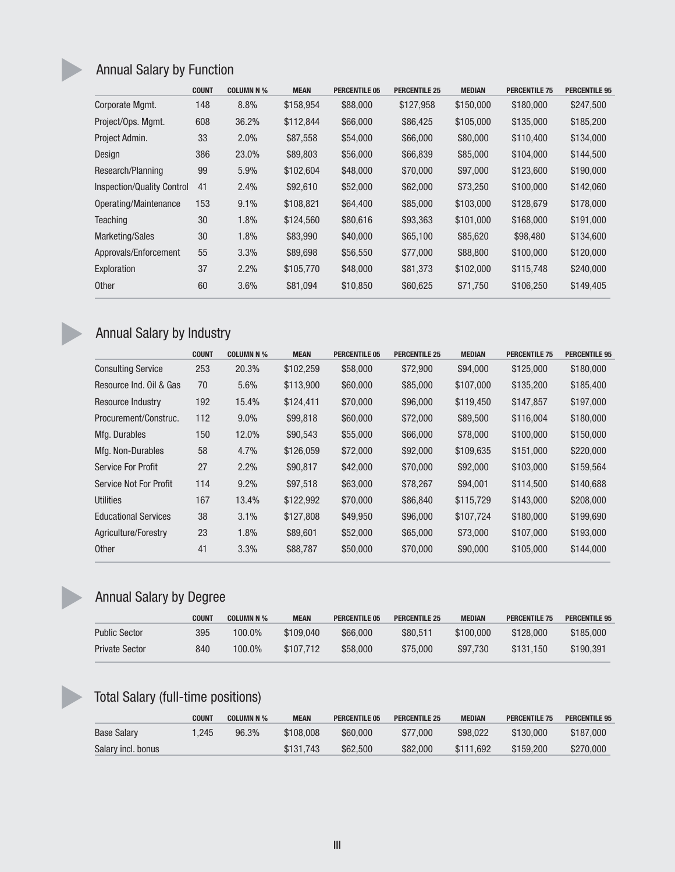## Annual Salary by Function

|                                   | <b>COUNT</b> | <b>COLUMN N %</b> | <b>MEAN</b> | <b>PERCENTILE 05</b> | <b>PERCENTILE 25</b> | <b>MEDIAN</b> | <b>PERCENTILE 75</b> | <b>PERCENTILE 95</b> |
|-----------------------------------|--------------|-------------------|-------------|----------------------|----------------------|---------------|----------------------|----------------------|
| Corporate Mgmt.                   | 148          | 8.8%              | \$158,954   | \$88,000             | \$127,958            | \$150,000     | \$180,000            | \$247,500            |
| Project/Ops. Mgmt.                | 608          | 36.2%             | \$112,844   | \$66,000             | \$86,425             | \$105,000     | \$135,000            | \$185,200            |
| Project Admin.                    | 33           | 2.0%              | \$87,558    | \$54,000             | \$66,000             | \$80,000      | \$110,400            | \$134,000            |
| Design                            | 386          | 23.0%             | \$89,803    | \$56,000             | \$66,839             | \$85,000      | \$104,000            | \$144,500            |
| Research/Planning                 | 99           | 5.9%              | \$102,604   | \$48,000             | \$70,000             | \$97,000      | \$123,600            | \$190,000            |
| <b>Inspection/Quality Control</b> | 41           | 2.4%              | \$92,610    | \$52,000             | \$62,000             | \$73,250      | \$100,000            | \$142,060            |
| Operating/Maintenance             | 153          | 9.1%              | \$108,821   | \$64,400             | \$85,000             | \$103,000     | \$128,679            | \$178,000            |
| <b>Teaching</b>                   | 30           | 1.8%              | \$124,560   | \$80,616             | \$93,363             | \$101,000     | \$168,000            | \$191,000            |
| <b>Marketing/Sales</b>            | 30           | 1.8%              | \$83,990    | \$40,000             | \$65,100             | \$85,620      | \$98,480             | \$134,600            |
| Approvals/Enforcement             | 55           | 3.3%              | \$89,698    | \$56,550             | \$77,000             | \$88,800      | \$100,000            | \$120,000            |
| Exploration                       | 37           | 2.2%              | \$105,770   | \$48,000             | \$81,373             | \$102,000     | \$115,748            | \$240,000            |
| <b>Other</b>                      | 60           | 3.6%              | \$81,094    | \$10,850             | \$60,625             | \$71,750      | \$106,250            | \$149,405            |

## Annual Salary by Industry

|                             | <b>COUNT</b> | <b>COLUMN N %</b> | <b>MEAN</b> | <b>PERCENTILE 05</b> | <b>PERCENTILE 25</b> | <b>MEDIAN</b> | <b>PERCENTILE 75</b> | <b>PERCENTILE 95</b> |
|-----------------------------|--------------|-------------------|-------------|----------------------|----------------------|---------------|----------------------|----------------------|
| <b>Consulting Service</b>   | 253          | 20.3%             | \$102,259   | \$58,000             | \$72,900             | \$94,000      | \$125,000            | \$180,000            |
| Resource Ind. Oil & Gas     | 70           | 5.6%              | \$113,900   | \$60,000             | \$85,000             | \$107,000     | \$135,200            | \$185,400            |
| Resource Industry           | 192          | 15.4%             | \$124,411   | \$70,000             | \$96,000             | \$119,450     | \$147,857            | \$197,000            |
| Procurement/Construc.       | 112          | $9.0\%$           | \$99,818    | \$60,000             | \$72,000             | \$89,500      | \$116,004            | \$180,000            |
| Mfg. Durables               | 150          | 12.0%             | \$90,543    | \$55,000             | \$66,000             | \$78,000      | \$100,000            | \$150,000            |
| Mfg. Non-Durables           | 58           | 4.7%              | \$126,059   | \$72,000             | \$92,000             | \$109,635     | \$151,000            | \$220,000            |
| <b>Service For Profit</b>   | 27           | 2.2%              | \$90,817    | \$42,000             | \$70,000             | \$92,000      | \$103,000            | \$159,564            |
| Service Not For Profit      | 114          | 9.2%              | \$97,518    | \$63,000             | \$78,267             | \$94,001      | \$114,500            | \$140,688            |
| Utilities                   | 167          | 13.4%             | \$122,992   | \$70,000             | \$86,840             | \$115,729     | \$143,000            | \$208,000            |
| <b>Educational Services</b> | 38           | 3.1%              | \$127,808   | \$49,950             | \$96,000             | \$107,724     | \$180,000            | \$199,690            |
| Agriculture/Forestry        | 23           | 1.8%              | \$89,601    | \$52,000             | \$65,000             | \$73,000      | \$107,000            | \$193,000            |
| <b>Other</b>                | 41           | 3.3%              | \$88,787    | \$50,000             | \$70,000             | \$90,000      | \$105,000            | \$144,000            |

## Annual Salary by Degree

|                       | COUNT | <b>COLUMN N %</b> | <b>MEAN</b> | <b>PERCENTILE 05</b> | <b>PERCENTILE 25</b> | <b>MEDIAN</b> | <b>PERCENTILE 75</b> | <b>PERCENTILE 95</b> |
|-----------------------|-------|-------------------|-------------|----------------------|----------------------|---------------|----------------------|----------------------|
| <b>Public Sector</b>  | 395   | 100.0%            | \$109.040   | \$66,000             | \$80.511             | \$100,000     | \$128,000            | \$185,000            |
| <b>Private Sector</b> | 840   | $100.0\%$         | \$107.712   | \$58,000             | \$75,000             | \$97,730      | \$131.150            | \$190.391            |

## Total Salary (full-time positions)

|                    | COUNT | <b>COLUMN N %</b> | <b>MEAN</b> | <b>PERCENTILE 05</b> | <b>PERCENTILE 25</b> | <b>MEDIAN</b> | <b>PERCENTILE 75</b> | <b>PERCENTILE 95</b> |
|--------------------|-------|-------------------|-------------|----------------------|----------------------|---------------|----------------------|----------------------|
| <b>Base Salary</b> | .245  | 96.3%             | \$108,008   | \$60,000             | \$77,000             | \$98,022      | \$130,000            | \$187,000            |
| Salary incl. bonus |       |                   | \$131.743   | \$62,500             | \$82,000             | \$111.692     | \$159,200            | \$270,000            |